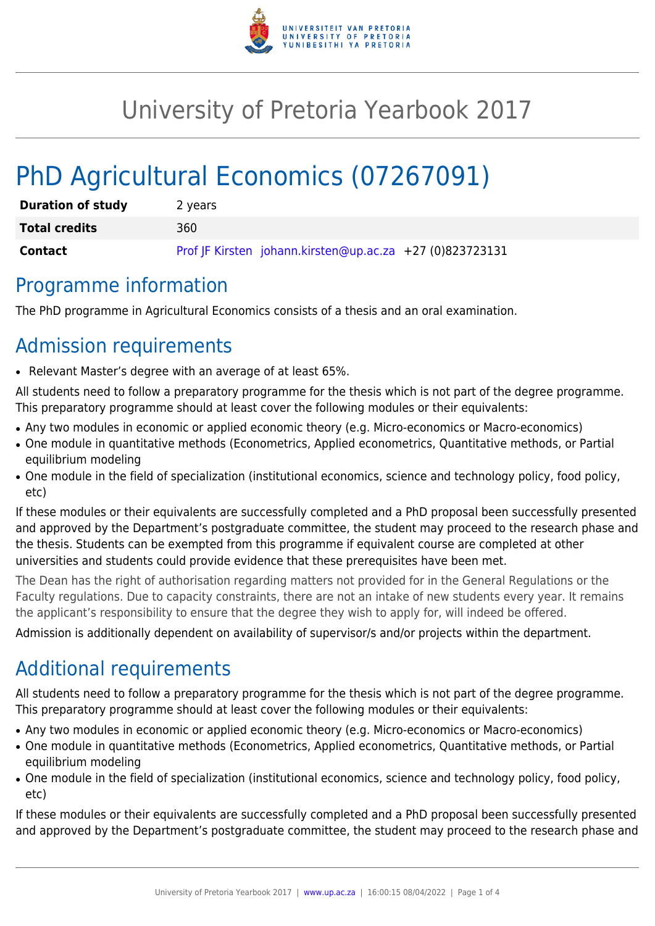

## University of Pretoria Yearbook 2017

# PhD Agricultural Economics (07267091)

| <b>Duration of study</b> | 2 years                                                  |
|--------------------------|----------------------------------------------------------|
| <b>Total credits</b>     | 360.                                                     |
| Contact                  | Prof JF Kirsten johann.kirsten@up.ac.za +27 (0)823723131 |

#### Programme information

The PhD programme in Agricultural Economics consists of a thesis and an oral examination.

### Admission requirements

● Relevant Master's degree with an average of at least 65%.

All students need to follow a preparatory programme for the thesis which is not part of the degree programme. This preparatory programme should at least cover the following modules or their equivalents:

- Any two modules in economic or applied economic theory (e.g. Micro-economics or Macro-economics)
- One module in quantitative methods (Econometrics, Applied econometrics, Quantitative methods, or Partial equilibrium modeling
- One module in the field of specialization (institutional economics, science and technology policy, food policy, etc)

If these modules or their equivalents are successfully completed and a PhD proposal been successfully presented and approved by the Department's postgraduate committee, the student may proceed to the research phase and the thesis. Students can be exempted from this programme if equivalent course are completed at other universities and students could provide evidence that these prerequisites have been met.

The Dean has the right of authorisation regarding matters not provided for in the General Regulations or the Faculty regulations. Due to capacity constraints, there are not an intake of new students every year. It remains the applicant's responsibility to ensure that the degree they wish to apply for, will indeed be offered.

Admission is additionally dependent on availability of supervisor/s and/or projects within the department.

## Additional requirements

All students need to follow a preparatory programme for the thesis which is not part of the degree programme. This preparatory programme should at least cover the following modules or their equivalents:

- Any two modules in economic or applied economic theory (e.g. Micro-economics or Macro-economics)
- One module in quantitative methods (Econometrics, Applied econometrics, Quantitative methods, or Partial equilibrium modeling
- One module in the field of specialization (institutional economics, science and technology policy, food policy, etc)

If these modules or their equivalents are successfully completed and a PhD proposal been successfully presented and approved by the Department's postgraduate committee, the student may proceed to the research phase and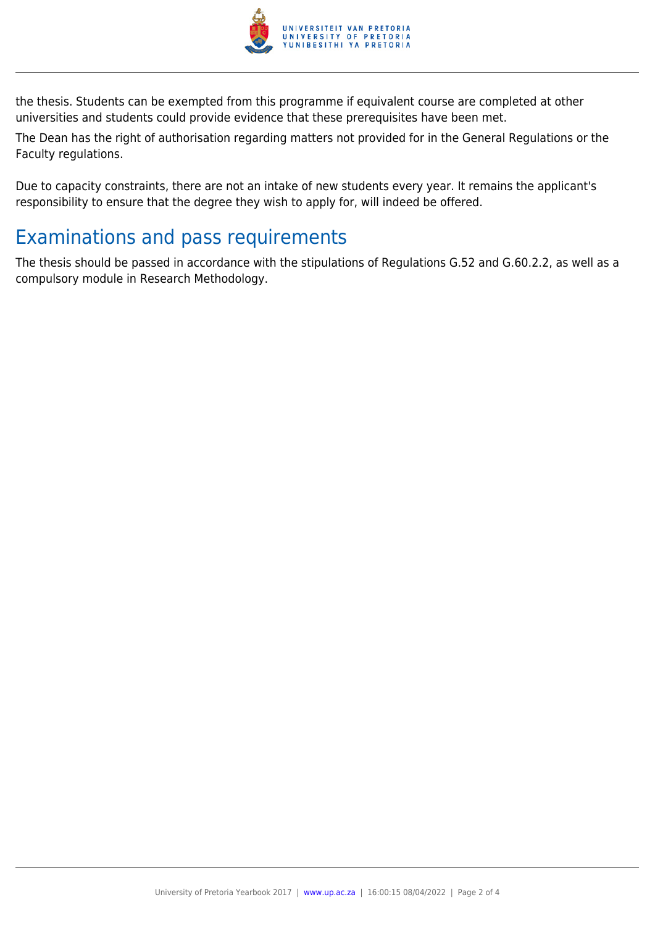

the thesis. Students can be exempted from this programme if equivalent course are completed at other universities and students could provide evidence that these prerequisites have been met.

The Dean has the right of authorisation regarding matters not provided for in the General Regulations or the Faculty regulations.

Due to capacity constraints, there are not an intake of new students every year. It remains the applicant's responsibility to ensure that the degree they wish to apply for, will indeed be offered.

#### Examinations and pass requirements

The thesis should be passed in accordance with the stipulations of Regulations G.52 and G.60.2.2, as well as a compulsory module in Research Methodology.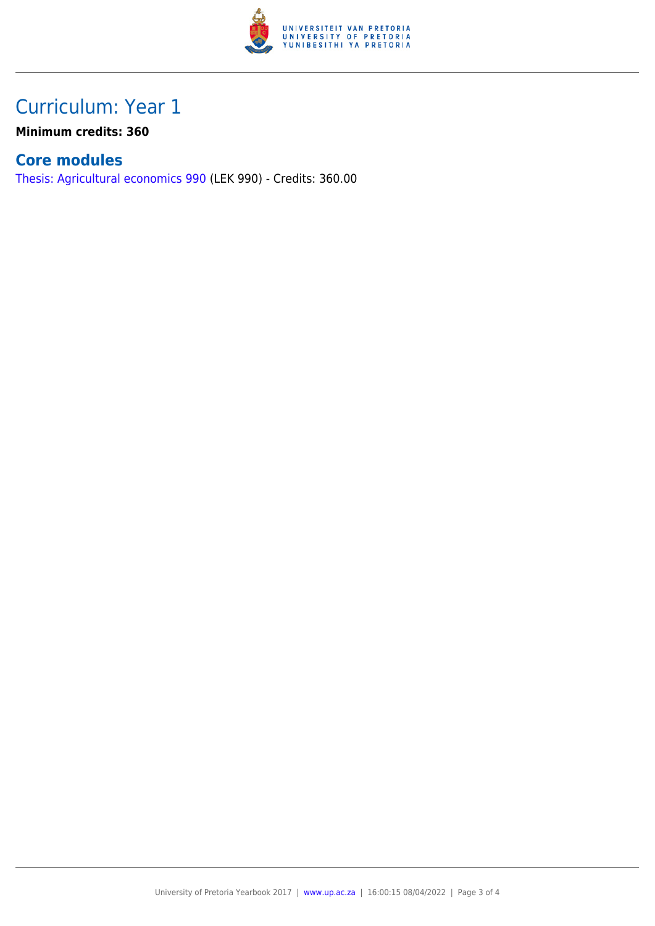

### Curriculum: Year 1

**Minimum credits: 360**

#### **Core modules**

[Thesis: Agricultural economics 990](https://www.up.ac.za/yearbooks/2017/modules/view/LEK 990) (LEK 990) - Credits: 360.00